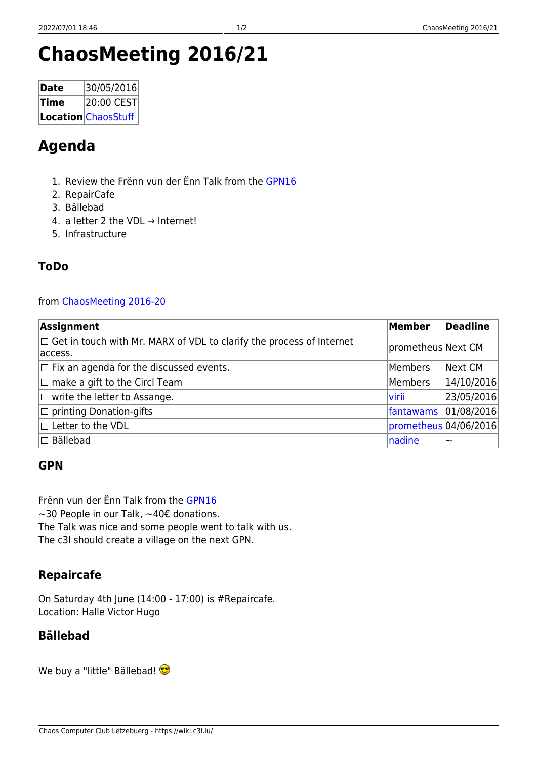Chaos Computer Club Lëtzebuerg - https://wiki.c3l.lu/

# **ChaosMeeting 2016/21**

| <b>Date</b> | 30/05/2016          |
|-------------|---------------------|
| ∣Time       | [20:00 CEST]        |
|             | Location ChaosStuff |

# **Agenda**

- 1. Review the Frënn vun der Ënn Talk from the [GPN16](https://media.ccc.de/v/gpn16-7575-frenn_vun_der_enn)
- 2. RepairCafe
- 3. Bällebad
- 4. a letter 2 the VDL  $\rightarrow$  Internet!
- 5. Infrastructure

# **ToDo**

#### from [ChaosMeeting 2016-20](https://wiki.c3l.lu/doku.php?id=organization:chaosmeetings:2016:cm-2016-20)

| Assignment                                                                              |                       | <b>Deadline</b>          |
|-----------------------------------------------------------------------------------------|-----------------------|--------------------------|
| $\Box$ Get in touch with Mr. MARX of VDL to clarify the process of Internet<br>laccess. | prometheus Next CM    |                          |
| $\Box$ Fix an agenda for the discussed events.                                          | Members               | Next CM                  |
| $\Box$ make a gift to the Circl Team                                                    | Members               | $\vert 14/10/2016 \vert$ |
| $\Box$ write the letter to Assange.                                                     | virii                 | 23/05/2016               |
| $\Box$ printing Donation-gifts                                                          | fantawams             | 01/08/2016               |
| $\Box$ Letter to the VDL                                                                | prometheus 04/06/2016 |                          |
| □ Bällebad                                                                              | nadine                | $\tilde{\phantom{a}}$    |

#### **GPN**

Frënn vun der Ënn Talk from the [GPN16](https://media.ccc.de/v/gpn16-7575-frenn_vun_der_enn) ~30 People in our Talk, ~40€ donations. The Talk was nice and some people went to talk with us. The c3l should create a village on the next GPN.

## **Repaircafe**

On Saturday 4th June (14:00 - 17:00) is #Repaircafe. Location: Halle Victor Hugo

## **Bällebad**

We buy a "little" Bällebad!